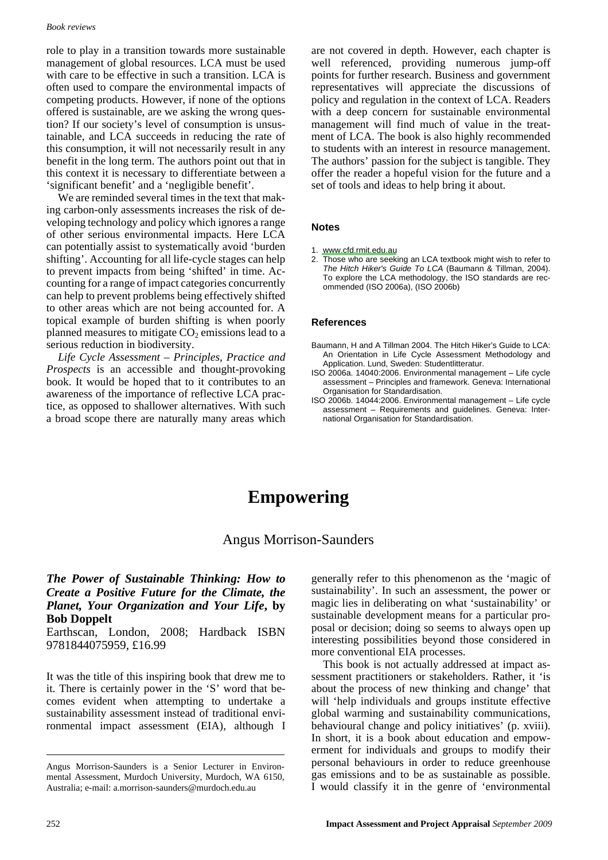#### **Book reviews**

role to play in a transition towards more sustainable management of global resources. LCA must be used with care to be effective in such a transition. LCA is often used to compare the environmental impacts of competing products. However, if none of the options offered is sustainable, are we asking the wrong question? If our society's level of consumption is unsustainable, and LCA succeeds in reducing the rate of this consumption, it will not necessarily result in any benefit in the long term. The authors point out that in this context it is necessary to differentiate between a 'significant benefit' and a 'negligible benefit'.

We are reminded several times in the text that making carbon-only assessments increases the risk of developing technology and policy which ignores a range of other serious environmental impacts. Here LCA can potentially assist to systematically avoid 'burden shifting'. Accounting for all life-cycle stages can help to prevent impacts from being 'shifted' in time. Accounting for a range of impact categories concurrently can help to prevent problems being effectively shifted to other areas which are not being accounted for. A topical example of burden shifting is when poorly planned measures to mitigate  $CO<sub>2</sub>$  emissions lead to a serious reduction in biodiversity.

Life Cycle Assessment - Principles, Practice and Prospects is an accessible and thought-provoking book. It would be hoped that to it contributes to an awareness of the importance of reflective LCA practice, as opposed to shallower alternatives. With such a broad scope there are naturally many areas which are not covered in depth. However, each chapter is well referenced, providing numerous jump-off points for further research. Business and government representatives will appreciate the discussions of policy and regulation in the context of LCA. Readers with a deep concern for sustainable environmental management will find much of value in the treatment of LCA. The book is also highly recommended to students with an interest in resource management. The authors' passion for the subject is tangible. They offer the reader a hopeful vision for the future and a set of tools and ideas to help bring it about.

### **Notes**

- 1. www.cfd.rmit.edu.au
- 2. Those who are seeking an LCA textbook might wish to refer to The Hitch Hiker's Guide To LCA (Baumann & Tillman, 2004). To explore the LCA methodology, the ISO standards are recommended (ISO 2006a), (ISO 2006b)

### **References**

- Baumann, H and A Tillman 2004. The Hitch Hiker's Guide to LCA: An Orientation in Life Cycle Assessment Methodology and Application. Lund, Sweden: Studentlitteratur.
- ISO 2006a. 14040:2006. Environmental management Life cycle assessment - Principles and framework. Geneva: International Organisation for Standardisation.
- ISO 2006b. 14044:2006. Environmental management Life cycle assessment - Requirements and guidelines. Geneva: International Organisation for Standardisation.

# **Empowering**

## **Angus Morrison-Saunders**

## The Power of Sustainable Thinking: How to Create a Positive Future for the Climate, the Planet, Your Organization and Your Life, by **Bob Doppelt**

Earthscan, London, 2008; Hardback ISBN 9781844075959, £16.99

It was the title of this inspiring book that drew me to it. There is certainly power in the 'S' word that becomes evident when attempting to undertake a sustainability assessment instead of traditional environmental impact assessment (EIA), although I generally refer to this phenomenon as the 'magic of sustainability'. In such an assessment, the power or magic lies in deliberating on what 'sustainability' or sustainable development means for a particular proposal or decision; doing so seems to always open up interesting possibilities beyond those considered in more conventional EIA processes.

This book is not actually addressed at impact assessment practitioners or stakeholders. Rather, it 'is about the process of new thinking and change' that will 'help individuals and groups institute effective global warming and sustainability communications, behavioural change and policy initiatives' (p. xviii). In short, it is a book about education and empowerment for individuals and groups to modify their personal behaviours in order to reduce greenhouse gas emissions and to be as sustainable as possible. I would classify it in the genre of 'environmental

Angus Morrison-Saunders is a Senior Lecturer in Environmental Assessment, Murdoch University, Murdoch, WA 6150, Australia; e-mail: a.morrison-saunders@murdoch.edu.au